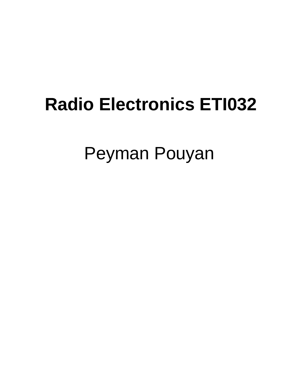# **Radio Electronics ETI032**

Peyman Pouyan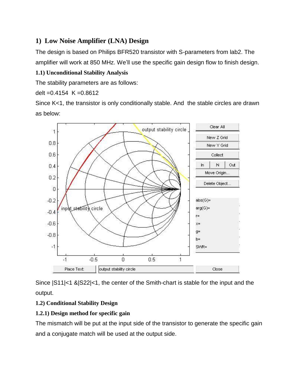# **1) Low Noise Amplifier (LNA) Design**

The design is based on Philips BFR520 transistor with S-parameters from lab2. The amplifier will work at 850 MHz. We'll use the specific gain design flow to finish design.

# **1.1) Unconditional Stability Analysis**

The stability parameters are as follows:

delt =  $0.4154$  K =  $0.8612$ 

Since K<1, the transistor is only conditionally stable. And the stable circles are drawn as below:



Since |S11|<1 &|S22|<1, the center of the Smith-chart is stable for the input and the output.

# **1.2) Conditional Stability Design**

# **1.2.1) Design method for specific gain**

The mismatch will be put at the input side of the transistor to generate the specific gain and a conjugate match will be used at the output side.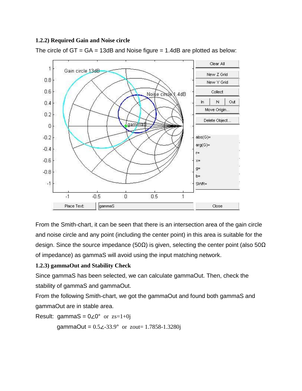#### **1.2.2) Required Gain and Noise circle**

The circle of  $GT = GA = 13dB$  and Noise figure = 1.4dB are plotted as below:



From the Smith-chart, it can be seen that there is an intersection area of the gain circle and noise circle and any point (including the center point) in this area is suitable for the design. Since the source impedance (50Ω) is given, selecting the center point (also 50Ω of impedance) as gammaS will avoid using the input matching network.

#### **1.2.3) gammaOut and Stability Check**

Since gammaS has been selected, we can calculate gammaOut. Then, check the stability of gammaS and gammaOut.

From the following Smith-chart, we got the gammaOut and found both gammaS and gammaOut are in stable area.

Result: gammaS =  $0 \angle 0^{\circ}$  or  $zs=1+0j$ 

gammaOut =  $0.5\angle 33.9^\circ$  or zout= 1.7858-1.3280j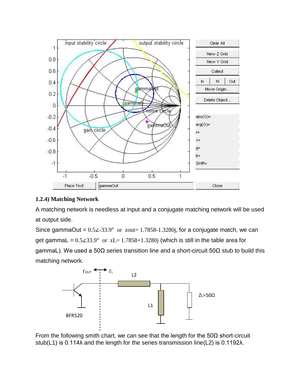

#### **1.2.4) Matching Network**

A matching network is needless at input and a conjugate matching network will be used at output side.

Since gammaOut =  $0.5\angle 33.9^\circ$  or zout= 1.7858-1.3280j, for a conjugate match, we can get gammaL =  $0.5\angle 33.9^{\circ}$  or  $zL=1.7858+1.3280$  (which is still in the table area for gammaL). We used a 50Ω series transition line and a short-circuit 50Ω stub to build this matching network.



From the following smith chart, we can see that the length for the  $50\Omega$  short-circuit stub(L1) is 0.114λ and the length for the series transmission line(L2) is 0.1192λ.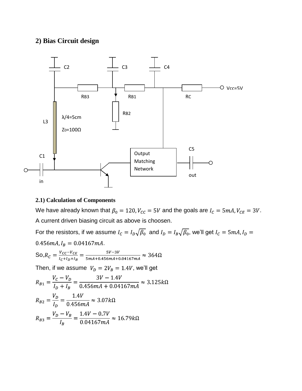### **2) Bias Circuit design**



#### **2.1) Calculation of Components**

We have already known that  $\beta_0 = 120$ ,  $V_{cc} = 5V$  and the goals are  $I_c = 5mA$ ,  $V_{CE} = 3V$ . A current driven biasing circuit as above is choosen.

For the resistors, if we assume  $I_c = I_D \sqrt{\beta_0}$  and  $I_D = I_B \sqrt{\beta_0}$ , we'll get  $I_c = 5mA$ ,  $I_D =$  $0.456mA, I_B = 0.04167mA.$ So, $R_C = \frac{V_{CC} - V_{CE}}{I_C + I_D + I_B} = \frac{5V - 3V}{5mA + 0.456mA + 0.04167mA} \approx 364\Omega$ 

Then, if we assume  $V_D = 2V_B = 1.4V$ , we'll get

$$
R_{B1} = \frac{V_C - V_D}{I_D + I_B} = \frac{3V - 1.4V}{0.456mA + 0.04167mA} \approx 3.125k\Omega
$$
  

$$
R_{B2} = \frac{V_D}{I_D} = \frac{1.4V}{0.456mA} \approx 3.07k\Omega
$$
  

$$
R_{B3} = \frac{V_D - V_B}{I_B} = \frac{1.4V - 0.7V}{0.04167mA} \approx 16.79k\Omega
$$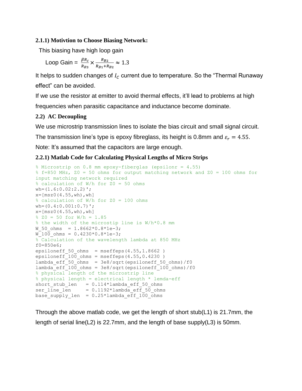#### **2.1.1) Motivtion to Choose Biasing Network:**

This biasing have high loop gain

Loop Gain = 
$$
\frac{\beta R_c}{R_{B3}} \times \frac{R_{B2}}{R_{B1} + R_{B2}} \approx 1.3
$$

It helps to sudden changes of  $I_c$  current due to temperature. So the "Thermal Runaway effect" can be avoided.

If we use the resistor at emitter to avoid thermal effects, it'll lead to problems at high frequencies when parasitic capacitance and inductance become dominate.

#### **2.2) AC Decoupling**

We use microstrip transmission lines to isolate the bias circuit and small signal circuit.

The transmission line's type is epoxy fibreglass, its height is 0.8mm and  $\varepsilon_r = 4.55$ .

Note: It's assumed that the capacitors are large enough.

#### **2.2.1) Matlab Code for Calculating Physical Lengths of Micro Strips**

```
% Microstrip on 0.8 mm epoxy-fiberglas (epsilonr = 4.55)
% f=850 MHz, Z0 = 50 ohms for output matching network and Z0 = 100 ohms for 
input matching network required
% calculation of W/h for Z0 = 50 ohms
wh=(1.6:0.02:2.2)';
x=[msz0(4.55, wh), wh]% calculation of W/h for Z0 = 100 ohms
wh=(0.4:0.001:0.7)';
x=[msz0(4.55, wh), wh]8 Z0 = 50 for W/h = 1.85
% the width of the microstip line is W/h*0.8 mm 
W 50 ohms = 1.8662*0.8*1e-3;W 100 ohms = 0.4230*0.8*1e-3;% Calculation of the wavelength lambda at 850 MHz
f0=850e6;
epsiloneff 50 ohms = mseffeps(4.55,1.8662)
epsiloneff 100 ohms = mseffeps(4.55,0.4230 )
lambda eff 50 ohms = 3e8/sqrt(epsilon)foneff 50 ohms)/f0
lambda_eff_100_ohms = 3e8/sqrt(epsiloneff_100_ohms)/f0
% physical length of the microstrip line
% physical length = electrical length * lemda-eff
short_stub_len = 0.114*lambda_eff_50_ohms
ser line len = 0.1192*lambda eff 50 ohms
base supply len = 0.25*lambda eff 100 ohms
```
Through the above matlab code, we get the length of short stub(L1) is 21.7mm, the length of serial line(L2) is 22.7mm, and the length of base supply(L3) is 50mm.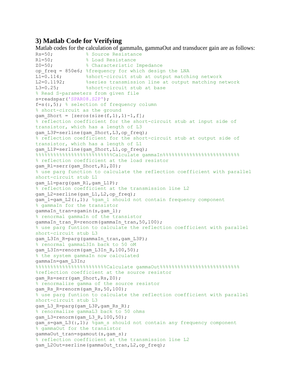#### **3) Matlab Code for Verifying**

Matlab codes for the calculation of gammaIn, gammaOut and transducer gain are as follows:<br> $Rs = 50$ : % Source Resistance R1=50; 8 Load Resistance Z0=50; % Characteristic Impedance op\_freq = 850e6; %frequency for which design the LNA L1=0.114; \$short-circuit stub at output matching network L2=0.1192; Sseries transmission line at output matching network L3=0.25; <br> \timeshort-circuit stub at base % Read S-parameters from given file s=readspar('SPAR08.S2P');  $f=s(:,5);$  % selection of frequency column % short-circuit as the ground gam Short =  $[zeros(size(f,1),1)-1,f];$ % reflection coefficient for the short-circuit stub at input side of transistor, which has a length of L3 gam L3P=serline(gam Short, L3, op freq); % reflection coefficient for the short-circuit stub at output side of transistor, which has a length of L1 gam L1P=serline(gam Short, L1, op freq); %%%%%%%%%%%%%%%%%%%%%%%%%%Calculate gammaIn%%%%%%%%%%%%%%%%%%%%%%%%%% % reflection coefficient at the load resistor gam\_Rl=serr(gam\_Short,Rl,Z0); % use parg function to calculate the reflection coefficient with parallel short-circuit stub L1 gam\_L1=parg(gam\_Rl,gam\_L1P); % reflection coefficient at the transmission line L2 gam\_L2=serline(gam\_L1,L2,op\_freq); gam  $l=q$ am  $L2(:,1);$  %gam  $l$  should not contain frequency component % gammaIn for the transistor gammaIn tran=sgamin(s, gam l); % renormal gammaIn of the transistor gammaIn tran R=renorm(gammaIn tran,50,100); % use parg funtion to calculate the reflection coefficient with parallel short-circuit stub L3 gam L3In R=parg(gammaIn tran,gam L3P); % renormal gammaL3In back to 50 oM gam L3In=renorm(gam L3In R,100,50); % the system gammaIn now calculated gammaIn=gam\_L3In; %%%%%%%%%%%%%%%%%%%%%%%%Calculate gammaOut%%%%%%%%%%%%%%%%%%%%%%%%%%% %reflection coefficient at the source resistor gam\_Rs=serr(gam\_Short,Rs,Z0); % renormalize gamma of the source resistor gam Rs R=renorm(gam Rs, 50,100); % use parg funtion to calculate the reflection coefficient with parallel short-circuit stub L3 gam L3 R=parg(gam L3P,gam Rs R); % renormalize gammaL3 back to 50 ohms gam L3=renorm(gam L3 R,100,50); gam s=gam L3(:,1); %gam s should not contain any frequency component % gammaOut for the transistor gammaOut tran=sgamout(s,gam s); % reflection coefficient at the transmission line L2 gam\_L2Out=serline(gammaOut\_tran,L2,op\_freq);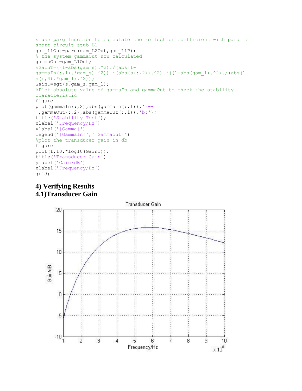```
% use parg function to calculate the reflection coefficient with parallel 
short-circuit stub L1
gam_L1Out=parg(gam_L2Out,gam_L1P);
% the system gammaOut now calculated
gammaOut=gam_L1Out;
\SGainT=((1-abs(gam s).^2)./(abs(1-
gammaIn(:,1).*gam s).^2)).*(abs(s(:,2)).^2).*((1-abs(gam_l).^2)./(abs(1-
s(:,4) . *gam 1). ^{2});
GainT=sgt(s,gam s,gam l);
%Plot absolute value of gammaIn and gammaOut to check the stability 
characteristic
figure
plot(gammaIn(:,2),abs(gammaIn(:,1)), 'r--',gammaOut(:,2),abs(gammaOut(:,1)),'b:');
title('Stability Test');
xlabel('Frequency/Hz')
ylabel('|Gamma|')
legend('|GammaIn|','|Gammaout|')
%plot the transducer gain in db
figure
plot(f,10.*log10(GainT));
title('Transducer Gain')
ylabel('Gain/dB')
xlabel('Frequency/Hz')
grid;
```
# **4) Verifying Results 4.1)Transducer Gain**